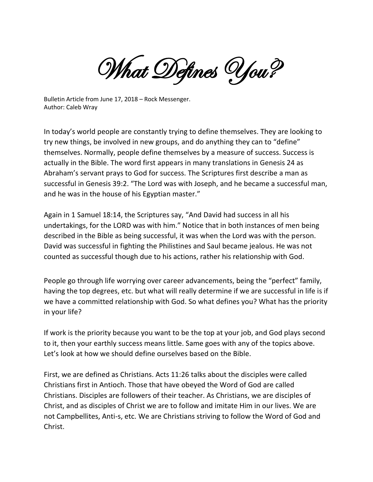What Defines You?

Bulletin Article from June 17, 2018 – Rock Messenger. Author: Caleb Wray

In today's world people are constantly trying to define themselves. They are looking to try new things, be involved in new groups, and do anything they can to "define" themselves. Normally, people define themselves by a measure of success. Success is actually in the Bible. The word first appears in many translations in Genesis 24 as Abraham's servant prays to God for success. The Scriptures first describe a man as successful in Genesis 39:2. "The Lord was with Joseph, and he became a successful man, and he was in the house of his Egyptian master."

Again in 1 Samuel 18:14, the Scriptures say, "And David had success in all his undertakings, for the LORD was with him." Notice that in both instances of men being described in the Bible as being successful, it was when the Lord was with the person. David was successful in fighting the Philistines and Saul became jealous. He was not counted as successful though due to his actions, rather his relationship with God.

People go through life worrying over career advancements, being the "perfect" family, having the top degrees, etc. but what will really determine if we are successful in life is if we have a committed relationship with God. So what defines you? What has the priority in your life?

If work is the priority because you want to be the top at your job, and God plays second to it, then your earthly success means little. Same goes with any of the topics above. Let's look at how we should define ourselves based on the Bible.

First, we are defined as Christians. Acts 11:26 talks about the disciples were called Christians first in Antioch. Those that have obeyed the Word of God are called Christians. Disciples are followers of their teacher. As Christians, we are disciples of Christ, and as disciples of Christ we are to follow and imitate Him in our lives. We are not Campbellites, Anti-s, etc. We are Christians striving to follow the Word of God and Christ.